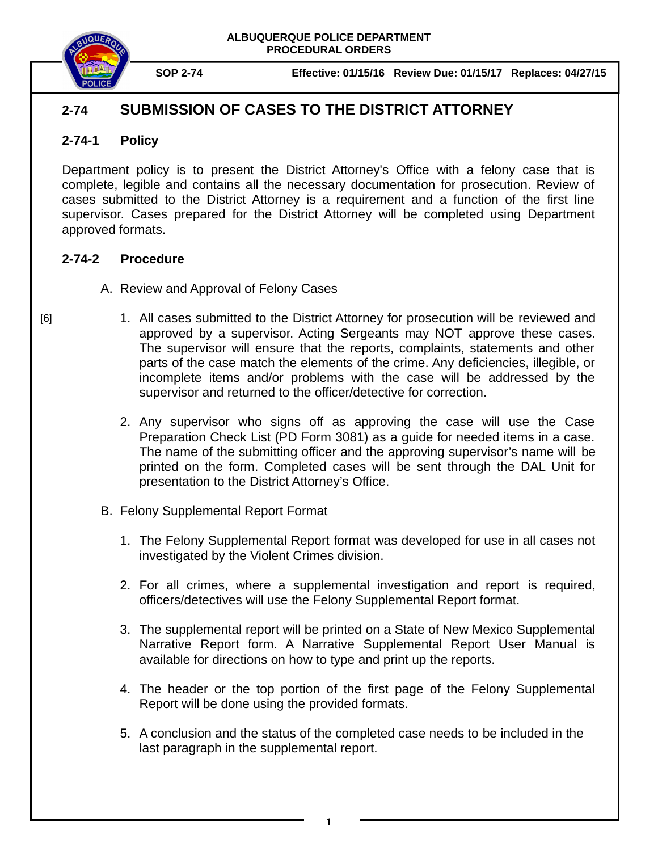

**SOP 2-74 Effective: 01/15/16 Review Due: 01/15/17 Replaces: 04/27/15** 

## **2-74 SUBMISSION OF CASES TO THE DISTRICT ATTORNEY**

## **2-74-1 Policy**

Department policy is to present the District Attorney's Office with a felony case that is complete, legible and contains all the necessary documentation for prosecution. Review of cases submitted to the District Attorney is a requirement and a function of the first line supervisor. Cases prepared for the District Attorney will be completed using Department approved formats.

## **2-74-2 Procedure**

- A. Review and Approval of Felony Cases
	- 1. All cases submitted to the District Attorney for prosecution will be reviewed and approved by a supervisor. Acting Sergeants may NOT approve these cases. The supervisor will ensure that the reports, complaints, statements and other parts of the case match the elements of the crime. Any deficiencies, illegible, or incomplete items and/or problems with the case will be addressed by the supervisor and returned to the officer/detective for correction.
		- 2. Any supervisor who signs off as approving the case will use the Case Preparation Check List (PD Form 3081) as a guide for needed items in a case. The name of the submitting officer and the approving supervisor's name will be printed on the form. Completed cases will be sent through the DAL Unit for presentation to the District Attorney's Office.
- B. Felony Supplemental Report Format
	- 1. The Felony Supplemental Report format was developed for use in all cases not investigated by the Violent Crimes division.
	- 2. For all crimes, where a supplemental investigation and report is required, officers/detectives will use the Felony Supplemental Report format.
	- 3. The supplemental report will be printed on a State of New Mexico Supplemental Narrative Report form. A Narrative Supplemental Report User Manual is available for directions on how to type and print up the reports.
	- 4. The header or the top portion of the first page of the Felony Supplemental Report will be done using the provided formats.
	- 5. A conclusion and the status of the completed case needs to be included in the last paragraph in the supplemental report.

[6]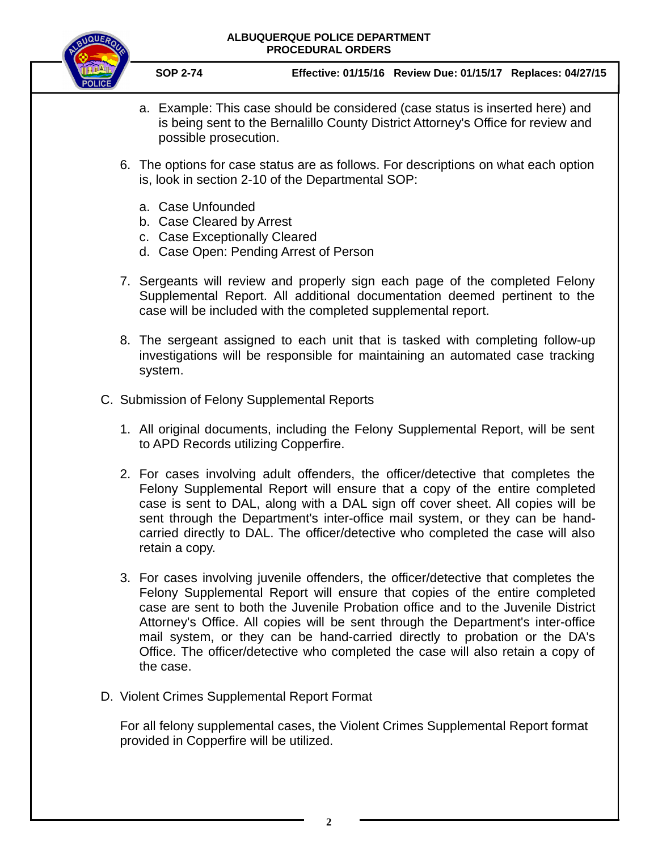## **ALBUQUERQUE POLICE DEPARTMENT PROCEDURAL ORDERS**



**SOP 2-74 Effective: 01/15/16 Review Due: 01/15/17 Replaces: 04/27/15** 

- a. Example: This case should be considered (case status is inserted here) and is being sent to the Bernalillo County District Attorney's Office for review and possible prosecution.
- 6. The options for case status are as follows. For descriptions on what each option is, look in section 2-10 of the Departmental SOP:
	- a. Case Unfounded
	- b. Case Cleared by Arrest
	- c. Case Exceptionally Cleared
	- d. Case Open: Pending Arrest of Person
- 7. Sergeants will review and properly sign each page of the completed Felony Supplemental Report. All additional documentation deemed pertinent to the case will be included with the completed supplemental report.
- 8. The sergeant assigned to each unit that is tasked with completing follow-up investigations will be responsible for maintaining an automated case tracking system.
- C. Submission of Felony Supplemental Reports
	- 1. All original documents, including the Felony Supplemental Report, will be sent to APD Records utilizing Copperfire.
	- 2. For cases involving adult offenders, the officer/detective that completes the Felony Supplemental Report will ensure that a copy of the entire completed case is sent to DAL, along with a DAL sign off cover sheet. All copies will be sent through the Department's inter-office mail system, or they can be handcarried directly to DAL. The officer/detective who completed the case will also retain a copy.
	- 3. For cases involving juvenile offenders, the officer/detective that completes the Felony Supplemental Report will ensure that copies of the entire completed case are sent to both the Juvenile Probation office and to the Juvenile District Attorney's Office. All copies will be sent through the Department's inter-office mail system, or they can be hand-carried directly to probation or the DA's Office. The officer/detective who completed the case will also retain a copy of the case.
- D. Violent Crimes Supplemental Report Format

For all felony supplemental cases, the Violent Crimes Supplemental Report format provided in Copperfire will be utilized.